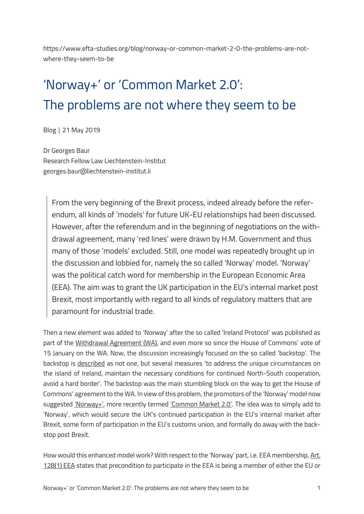https://www.efta-studies.org/blog/norway-or-common-market-2-0-the-problems-are-notwhere-they-seem-to-be

# 'Norway+' or 'Common Market 2.0': The problems are not where they seem to be

Blog │ 21 May 2019

Dr Georges Baur Research Fellow Law Liechtenstein-Institut georges.baur@liechtenstein-institut.li

From the very beginning of the Brexit process, indeed already before the referendum, all kinds of 'models' for future UK-EU relationships had been discussed. However, after the referendum and in the beginning of negotiations on the withdrawal agreement, many 'red lines' were drawn by H.M. Government and thus many of those 'models' excluded. Still, one model was repeatedly brought up in the discussion and lobbied for, namely the so called 'Norway' model. 'Norway' was the political catch word for membership in the European Economic Area (EEA). The aim was to grant the UK participation in the EU's internal market post Brexit, most importantly with regard to all kinds of regulatory matters that are paramount for industrial trade.

Then a new element was added to 'Norway' after the so called 'Ireland Protocol' was published as part of the Withdrawal [Agreement \(WA\)](https://ec.europa.eu/commission/sites/beta-political/files/draft_withdrawal_agreement_0.pdf), and even more so since the House of Commons' vote of 15 January on the WA. Now, the discussion increasingly focused on the so called 'backstop'. The backstop is [described](https://ukandeu.ac.uk/wp-content/uploads/2019/02/Brexit-and-the-backstop-everything-you-need-to-know-1.pdf) as not one, but several measures 'to address the unique circumstances on the island of Ireland, maintain the necessary conditions for continued North-South cooperation, avoid a hard border'. The backstop was the main stumbling block on the way to get the House of Commons' agreement to the WA. In view of this problem, the promotors of the 'Norway' model now suggested ['Norway+'](https://www.theweek.co.uk/brexit/97471/brexit-what-is-the-norway-model-and-would-it-work), more recently termed ['Common Market 2.0'](http://betterbrexit.org.uk/). The idea was to simply add to 'Norway', which would secure the UK's continued participation in the EU's internal market after Brexit, some form of participation in the EU's customs union, and formally do away with the backstop post Brexit.

How would this enhanced model work? With respect to the 'Norway' part, i.e. EEA membership, Art. [128\(1\) EEA](https://www.efta.int/media/documents/legal-texts/eea/the-eea-agreement/Main%20Text%20of%20the%20Agreement/EEAagreement.pdf) states that precondition to participate in the EEA is being a member of either the EU or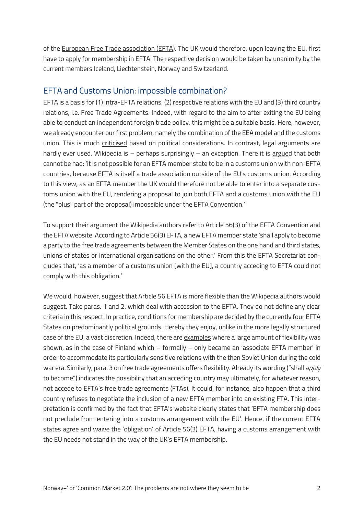of the [European Free Trade association \(EFTA\)](https://www.efta.int/about-efta). The UK would therefore, upon leaving the EU, first have to apply for membership in EFTA. The respective decision would be taken by unanimity by the current members Iceland, Liechtenstein, Norway and Switzerland.

#### EFTA and Customs Union: impossible combination?

EFTA is a basis for (1) intra-EFTA relations, (2) respective relations with the EU and (3) third country relations, i.e. Free Trade Agreements. Indeed, with regard to the aim to after exiting the EU being able to conduct an independent foreign trade policy, this might be a suitable basis. Here, however, we already encounter our first problem, namely the combination of the EEA model and the customs union. This is much [criticised](https://www.prospectmagazine.co.uk/.../norway-brexit-european-) based on political considerations. In contrast, legal arguments are hardly ever used. Wikipedia is – perhaps surprisingly – an exception. There it is [argued](https://en.wikipedia.org/wiki/Norway_plus) that both cannot be had: 'it is not possible for an EFTA member state to be in a customs union with non-EFTA countries, because EFTA is itself a trade association outside of the EU's customs union. According to this view, as an EFTA member the UK would therefore not be able to enter into a separate customs union with the EU, rendering a proposal to join both EFTA and a customs union with the EU (the "plus" part of the proposal) impossible under the EFTA Convention.'

To support their argument the Wikipedia authors refer to Article 56(3) of the [EFTA Convention](https://www.efta.int/sites/default/files/documents/legal-texts/efta-convention/Vaduz%20Convention%20Agreement.pdf) and the EFTA website. According to Article 56(3) EFTA, a new EFTA member state 'shall apply to become a party to the free trade agreements between the Member States on the one hand and third states, unions of states or international organisations on the other.' From this the EFTA Secretariat [con](https://www.efta.int/About-EFTA/Frequently-asked-questions-EFTA-EEA-EFTA-membership-and-Brexit-328676)[clude](https://www.efta.int/About-EFTA/Frequently-asked-questions-EFTA-EEA-EFTA-membership-and-Brexit-328676)s that, 'as a member of a customs union [with the EU], a country acceding to EFTA could not comply with this obligation.'

We would, however, suggest that Article 56 EFTA is more flexible than the Wikipedia authors would suggest. Take paras. 1 and 2, which deal with accession to the EFTA. They do not define any clear criteria in this respect. In practice, conditions for membership are decided by the currently four EFTA States on predominantly political grounds. Hereby they enjoy, unlike in the more legally structured case of the EU, a vast discretion. Indeed, there are [examples](http://aei.pitt.edu/828/1/2.htm) where a large amount of flexibility was shown, as in the case of Finland which – formally – only became an 'associate EFTA member' in order to accommodate its particularly sensitive relations with the then Soviet Union during the cold war era. Similarly, para. 3 on free trade agreements offers flexibility. Already its wording ("shall *apply* to become") indicates the possibility that an acceding country may ultimately, for whatever reason, not accede to EFTA's free trade agreements (FTAs). It could, for instance, also happen that a third country refuses to negotiate the inclusion of a new EFTA member into an existing FTA. This interpretation is confirmed by the fact that EFTA's website clearly states that 'EFTA membership does not preclude from entering into a customs arrangement with the EU'. Hence, if the current EFTA states agree and waive the 'obligation' of Article 56(3) EFTA, having a customs arrangement with the EU needs not stand in the way of the UK's EFTA membership.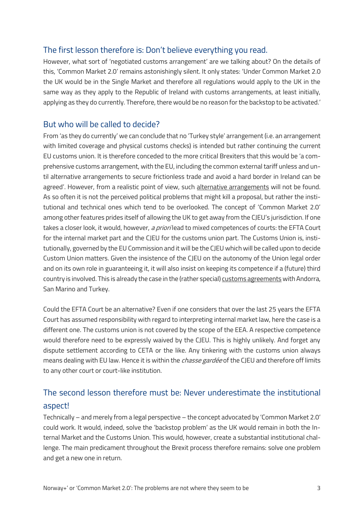#### The first lesson therefore is: Don't believe everything you read.

However, what sort of 'negotiated customs arrangement' are we talking about? On the details of this, 'Common Market 2.0' remains astonishingly silent. It only states: 'Under Common Market 2.0 the UK would be in the Single Market and therefore all regulations would apply to the UK in the same way as they apply to the Republic of Ireland with customs arrangements, at least initially, applying as they do currently. Therefore, there would be no reason for the backstop to be activated.'

#### But who will be called to decide?

From 'as they do currently' we can conclude that no 'Turkey style' arrangement (i.e. an arrangement with limited coverage and physical customs checks) is intended but rather continuing the current EU customs union. It is therefore conceded to the more critical Brexiters that this would be 'a comprehensive customs arrangement, with the EU, including the common external tariff unless and until alternative arrangements to secure frictionless trade and avoid a hard border in Ireland can be agreed'. However, from a realistic point of view, such [alternative arrangements](https://ukandeu.ac.uk/wp-content/uploads/2019/02/Brexit-and-the-backstop-everything-you-need-to-know-1.pdf) will not be found. As so often it is not the perceived political problems that might kill a proposal, but rather the institutional and technical ones which tend to be overlooked. The concept of 'Common Market 2.0' among other features prides itself of allowing the UK to get away from the CJEU's jurisdiction. If one takes a closer look, it would, however, a priori lead to mixed competences of courts: the EFTA Court for the internal market part and the CJEU for the customs union part. The Customs Union is, institutionally, governed by the EU Commission and it will be the CJEU which will be called upon to decide Custom Union matters. Given the insistence of the CJEU on the autonomy of the Union legal order and on its own role in guaranteeing it, it will also insist on keeping its competence if a (future) third country is involved. This is already the case in the (rather special[\) customs agreements](https://trade.ec.europa.eu/tradehelp/customs-unions) with Andorra, San Marino and Turkey.

Could the EFTA Court be an alternative? Even if one considers that over the last 25 years the EFTA Court has assumed responsibility with regard to interpreting internal market law, here the case is a different one. The customs union is not covered by the scope of the EEA. A respective competence would therefore need to be expressly waived by the CJEU. This is highly unlikely. And forget any dispute settlement according to CETA or the like. Any tinkering with the customs union always means dealing with EU law. Hence it is within the *chasse gardée* of the CJEU and therefore off limits to any other court or court-like institution.

## The second lesson therefore must be: Never underestimate the institutional aspect!

Technically – and merely from a legal perspective – the concept advocated by 'Common Market 2.0' could work. It would, indeed, solve the 'backstop problem' as the UK would remain in both the Internal Market and the Customs Union. This would, however, create a substantial institutional challenge. The main predicament throughout the Brexit process therefore remains: solve one problem and get a new one in return.